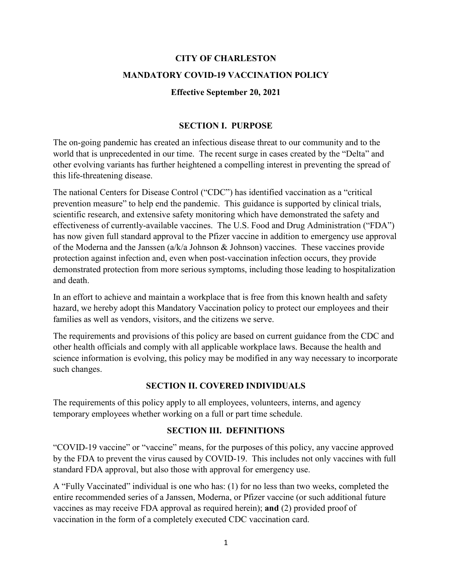# **CITY OF CHARLESTON MANDATORY COVID-19 VACCINATION POLICY**

#### **Effective September 20, 2021**

#### **SECTION I. PURPOSE**

The on-going pandemic has created an infectious disease threat to our community and to the world that is unprecedented in our time. The recent surge in cases created by the "Delta" and other evolving variants has further heightened a compelling interest in preventing the spread of this life-threatening disease.

The national Centers for Disease Control ("CDC") has identified vaccination as a "critical prevention measure" to help end the pandemic. This guidance is supported by clinical trials, scientific research, and extensive safety monitoring which have demonstrated the safety and effectiveness of currently-available vaccines. The U.S. Food and Drug Administration ("FDA") has now given full standard approval to the Pfizer vaccine in addition to emergency use approval of the Moderna and the Janssen (a/k/a Johnson & Johnson) vaccines. These vaccines provide protection against infection and, even when post-vaccination infection occurs, they provide demonstrated protection from more serious symptoms, including those leading to hospitalization and death.

In an effort to achieve and maintain a workplace that is free from this known health and safety hazard, we hereby adopt this Mandatory Vaccination policy to protect our employees and their families as well as vendors, visitors, and the citizens we serve.

The requirements and provisions of this policy are based on current guidance from the CDC and other health officials and comply with all applicable workplace laws. Because the health and science information is evolving, this policy may be modified in any way necessary to incorporate such changes.

#### **SECTION II. COVERED INDIVIDUALS**

The requirements of this policy apply to all employees, volunteers, interns, and agency temporary employees whether working on a full or part time schedule.

#### **SECTION III. DEFINITIONS**

"COVID-19 vaccine" or "vaccine" means, for the purposes of this policy, any vaccine approved by the FDA to prevent the virus caused by COVID-19. This includes not only vaccines with full standard FDA approval, but also those with approval for emergency use.

A "Fully Vaccinated" individual is one who has: (1) for no less than two weeks, completed the entire recommended series of a Janssen, Moderna, or Pfizer vaccine (or such additional future vaccines as may receive FDA approval as required herein); **and** (2) provided proof of vaccination in the form of a completely executed CDC vaccination card.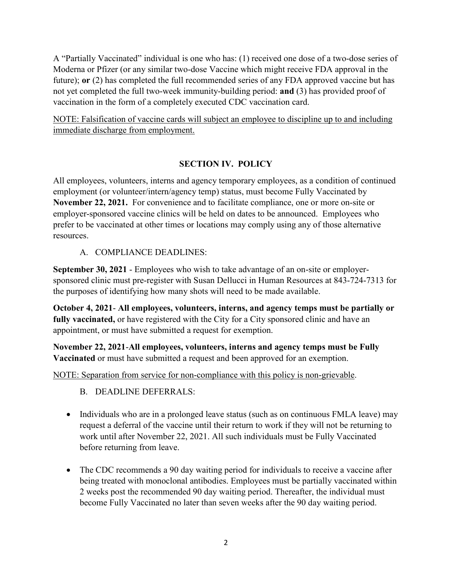A "Partially Vaccinated" individual is one who has: (1) received one dose of a two-dose series of Moderna or Pfizer (or any similar two-dose Vaccine which might receive FDA approval in the future); **or** (2) has completed the full recommended series of any FDA approved vaccine but has not yet completed the full two-week immunity-building period: **and** (3) has provided proof of vaccination in the form of a completely executed CDC vaccination card.

NOTE: Falsification of vaccine cards will subject an employee to discipline up to and including immediate discharge from employment.

## **SECTION IV. POLICY**

All employees, volunteers, interns and agency temporary employees, as a condition of continued employment (or volunteer/intern/agency temp) status, must become Fully Vaccinated by **November 22, 2021.** For convenience and to facilitate compliance, one or more on-site or employer-sponsored vaccine clinics will be held on dates to be announced. Employees who prefer to be vaccinated at other times or locations may comply using any of those alternative resources.

A. COMPLIANCE DEADLINES:

**September 30, 2021** - Employees who wish to take advantage of an on-site or employersponsored clinic must pre-register with Susan Dellucci in Human Resources at 843-724-7313 for the purposes of identifying how many shots will need to be made available.

**October 4, 2021**- **All employees, volunteers, interns, and agency temps must be partially or fully vaccinated,** or have registered with the City for a City sponsored clinic and have an appointment, or must have submitted a request for exemption.

**November 22, 2021**-**All employees, volunteers, interns and agency temps must be Fully Vaccinated** or must have submitted a request and been approved for an exemption.

NOTE: Separation from service for non-compliance with this policy is non-grievable.

B. DEADLINE DEFERRALS:

- Individuals who are in a prolonged leave status (such as on continuous FMLA leave) may request a deferral of the vaccine until their return to work if they will not be returning to work until after November 22, 2021. All such individuals must be Fully Vaccinated before returning from leave.
- The CDC recommends a 90 day waiting period for individuals to receive a vaccine after being treated with monoclonal antibodies. Employees must be partially vaccinated within 2 weeks post the recommended 90 day waiting period. Thereafter, the individual must become Fully Vaccinated no later than seven weeks after the 90 day waiting period.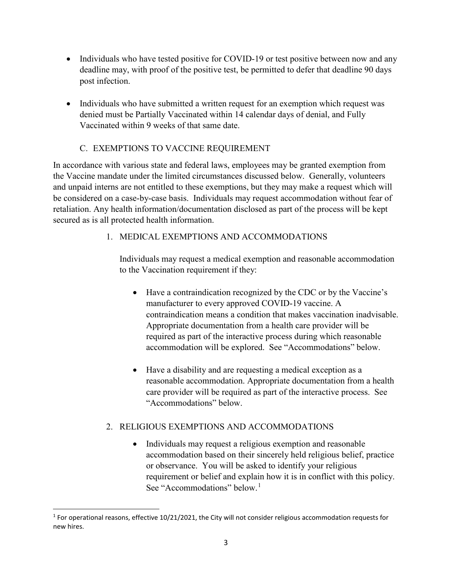- Individuals who have tested positive for COVID-19 or test positive between now and any deadline may, with proof of the positive test, be permitted to defer that deadline 90 days post infection.
- Individuals who have submitted a written request for an exemption which request was denied must be Partially Vaccinated within 14 calendar days of denial, and Fully Vaccinated within 9 weeks of that same date.

## C. EXEMPTIONS TO VACCINE REQUIREMENT

In accordance with various state and federal laws, employees may be granted exemption from the Vaccine mandate under the limited circumstances discussed below. Generally, volunteers and unpaid interns are not entitled to these exemptions, but they may make a request which will be considered on a case-by-case basis. Individuals may request accommodation without fear of retaliation. Any health information/documentation disclosed as part of the process will be kept secured as is all protected health information.

## 1. MEDICAL EXEMPTIONS AND ACCOMMODATIONS

Individuals may request a medical exemption and reasonable accommodation to the Vaccination requirement if they:

- Have a contraindication recognized by the CDC or by the Vaccine's manufacturer to every approved COVID-19 vaccine. A contraindication means a condition that makes vaccination inadvisable. Appropriate documentation from a health care provider will be required as part of the interactive process during which reasonable accommodation will be explored. See "Accommodations" below.
- Have a disability and are requesting a medical exception as a reasonable accommodation. Appropriate documentation from a health care provider will be required as part of the interactive process. See "Accommodations" below.

## 2. RELIGIOUS EXEMPTIONS AND ACCOMMODATIONS

• Individuals may request a religious exemption and reasonable accommodation based on their sincerely held religious belief, practice or observance. You will be asked to identify your religious requirement or belief and explain how it is in conflict with this policy. See "Accommodations" below.<sup>[1](#page-2-0)</sup>

<span id="page-2-0"></span><sup>&</sup>lt;sup>1</sup> For operational reasons, effective  $10/21/2021$ , the City will not consider religious accommodation requests for new hires.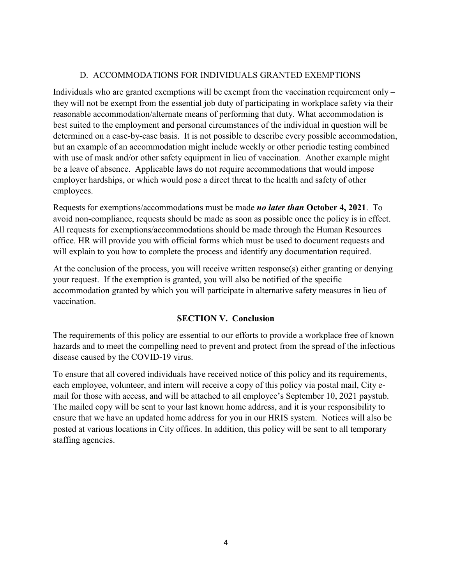#### D. ACCOMMODATIONS FOR INDIVIDUALS GRANTED EXEMPTIONS

Individuals who are granted exemptions will be exempt from the vaccination requirement only – they will not be exempt from the essential job duty of participating in workplace safety via their reasonable accommodation/alternate means of performing that duty. What accommodation is best suited to the employment and personal circumstances of the individual in question will be determined on a case-by-case basis. It is not possible to describe every possible accommodation, but an example of an accommodation might include weekly or other periodic testing combined with use of mask and/or other safety equipment in lieu of vaccination. Another example might be a leave of absence. Applicable laws do not require accommodations that would impose employer hardships, or which would pose a direct threat to the health and safety of other employees.

Requests for exemptions/accommodations must be made *no later than* **October 4, 2021**. To avoid non-compliance, requests should be made as soon as possible once the policy is in effect. All requests for exemptions/accommodations should be made through the Human Resources office. HR will provide you with official forms which must be used to document requests and will explain to you how to complete the process and identify any documentation required.

At the conclusion of the process, you will receive written response(s) either granting or denying your request. If the exemption is granted, you will also be notified of the specific accommodation granted by which you will participate in alternative safety measures in lieu of vaccination.

## **SECTION V. Conclusion**

The requirements of this policy are essential to our efforts to provide a workplace free of known hazards and to meet the compelling need to prevent and protect from the spread of the infectious disease caused by the COVID-19 virus.

To ensure that all covered individuals have received notice of this policy and its requirements, each employee, volunteer, and intern will receive a copy of this policy via postal mail, City email for those with access, and will be attached to all employee's September 10, 2021 paystub. The mailed copy will be sent to your last known home address, and it is your responsibility to ensure that we have an updated home address for you in our HRIS system. Notices will also be posted at various locations in City offices. In addition, this policy will be sent to all temporary staffing agencies.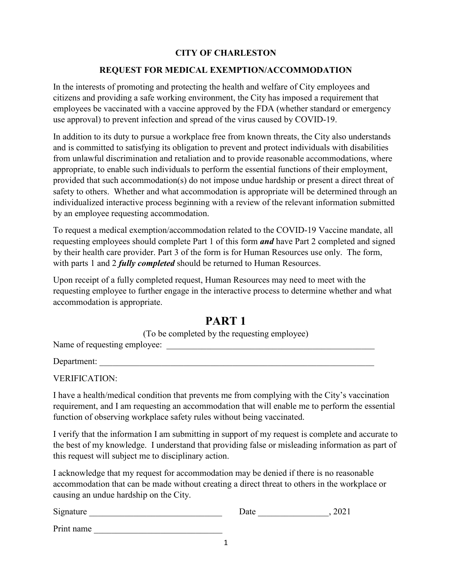#### **CITY OF CHARLESTON**

#### **REQUEST FOR MEDICAL EXEMPTION/ACCOMMODATION**

In the interests of promoting and protecting the health and welfare of City employees and citizens and providing a safe working environment, the City has imposed a requirement that employees be vaccinated with a vaccine approved by the FDA (whether standard or emergency use approval) to prevent infection and spread of the virus caused by COVID-19.

In addition to its duty to pursue a workplace free from known threats, the City also understands and is committed to satisfying its obligation to prevent and protect individuals with disabilities from unlawful discrimination and retaliation and to provide reasonable accommodations, where appropriate, to enable such individuals to perform the essential functions of their employment, provided that such accommodation(s) do not impose undue hardship or present a direct threat of safety to others. Whether and what accommodation is appropriate will be determined through an individualized interactive process beginning with a review of the relevant information submitted by an employee requesting accommodation.

To request a medical exemption/accommodation related to the COVID-19 Vaccine mandate, all requesting employees should complete Part 1 of this form *and* have Part 2 completed and signed by their health care provider. Part 3 of the form is for Human Resources use only. The form, with parts 1 and 2 *fully completed* should be returned to Human Resources.

Upon receipt of a fully completed request, Human Resources may need to meet with the requesting employee to further engage in the interactive process to determine whether and what accommodation is appropriate.

## **PART 1**

(To be completed by the requesting employee)

Name of requesting employee: \_\_\_\_\_\_\_\_\_\_\_\_\_\_\_\_\_\_\_\_\_\_\_\_\_\_\_\_\_\_\_\_\_\_\_\_\_\_\_\_\_\_\_\_\_\_\_

Department:

VERIFICATION:

I have a health/medical condition that prevents me from complying with the City's vaccination requirement, and I am requesting an accommodation that will enable me to perform the essential function of observing workplace safety rules without being vaccinated.

I verify that the information I am submitting in support of my request is complete and accurate to the best of my knowledge. I understand that providing false or misleading information as part of this request will subject me to disciplinary action.

I acknowledge that my request for accommodation may be denied if there is no reasonable accommodation that can be made without creating a direct threat to others in the workplace or causing an undue hardship on the City.

| Signature  | Jate | 2021 |
|------------|------|------|
| Print name |      |      |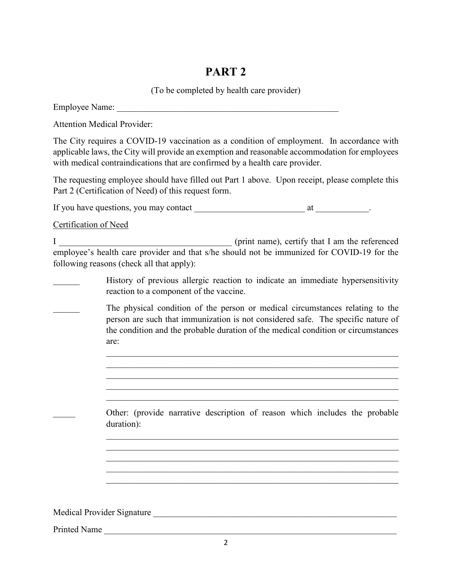# **PART 2**

(To be completed by health care provider)

Employee Name: \_\_\_\_\_\_\_\_\_\_\_\_\_\_\_\_\_\_\_\_\_\_\_\_\_\_\_\_\_\_\_\_\_\_\_\_\_\_\_\_\_\_\_\_\_\_\_\_\_\_

| <b>Attention Medical Provider:</b>                |                                                                                                                                                                                                                                                                             |
|---------------------------------------------------|-----------------------------------------------------------------------------------------------------------------------------------------------------------------------------------------------------------------------------------------------------------------------------|
|                                                   | The City requires a COVID-19 vaccination as a condition of employment. In accordance with<br>applicable laws, the City will provide an exemption and reasonable accommodation for employees<br>with medical contraindications that are confirmed by a health care provider. |
|                                                   | The requesting employee should have filled out Part 1 above. Upon receipt, please complete this<br>Part 2 (Certification of Need) of this request form.                                                                                                                     |
|                                                   |                                                                                                                                                                                                                                                                             |
| <b>Certification of Need</b>                      |                                                                                                                                                                                                                                                                             |
|                                                   | (print name), certify that I am the referenced<br>employee's health care provider and that s/he should not be immunized for COVID-19 for the<br>following reasons (check all that apply):                                                                                   |
|                                                   | History of previous allergic reaction to indicate an immediate hypersensitivity<br>reaction to a component of the vaccine.                                                                                                                                                  |
|                                                   | The physical condition of the person or medical circumstances relating to the<br>person are such that immunization is not considered safe. The specific nature of<br>the condition and the probable duration of the medical condition or circumstances<br>are:              |
|                                                   | Other: (provide narrative description of reason which includes the probable<br>duration):                                                                                                                                                                                   |
| Medical Provider Signature<br><b>Printed Name</b> | <u> 1980 - Andrea Station, Amerikaansk politiker (</u>                                                                                                                                                                                                                      |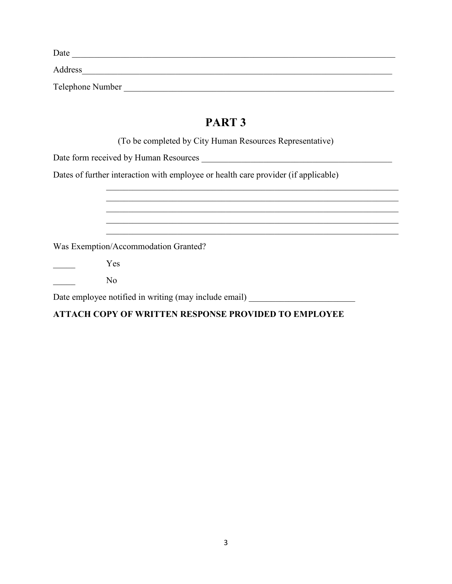| Date             |  |
|------------------|--|
| Address          |  |
| Telephone Number |  |
|                  |  |

## **PART 3**

(To be completed by City Human Resources Representative)

 $\_$  , and the set of the set of the set of the set of the set of the set of the set of the set of the set of the set of the set of the set of the set of the set of the set of the set of the set of the set of the set of th

Date form received by Human Resources \_\_\_\_\_\_\_\_\_\_\_\_\_\_\_\_\_\_\_\_\_\_\_\_\_\_\_\_\_\_\_\_\_\_\_\_\_\_\_\_\_\_\_

Dates of further interaction with employee or health care provider (if applicable)

| Was Exemption/Accommodation Granted?                  |
|-------------------------------------------------------|
| Yes                                                   |
| No                                                    |
| Date employee notified in writing (may include email) |

## **ATTACH COPY OF WRITTEN RESPONSE PROVIDED TO EMPLOYEE**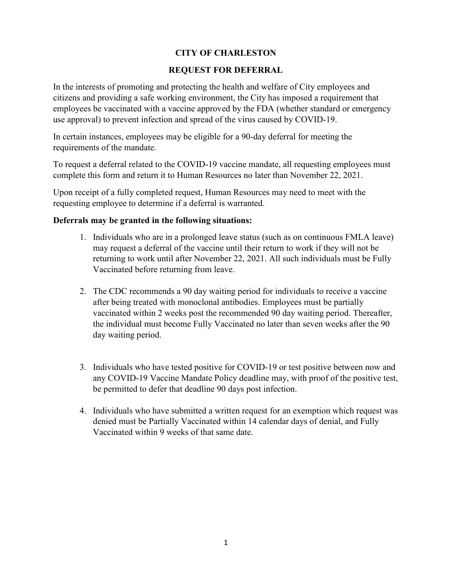#### **CITY OF CHARLESTON**

#### **REQUEST FOR DEFERRAL**

In the interests of promoting and protecting the health and welfare of City employees and citizens and providing a safe working environment, the City has imposed a requirement that employees be vaccinated with a vaccine approved by the FDA (whether standard or emergency use approval) to prevent infection and spread of the virus caused by COVID-19.

In certain instances, employees may be eligible for a 90-day deferral for meeting the requirements of the mandate.

To request a deferral related to the COVID-19 vaccine mandate, all requesting employees must complete this form and return it to Human Resources no later than November 22, 2021.

Upon receipt of a fully completed request, Human Resources may need to meet with the requesting employee to determine if a deferral is warranted.

#### **Deferrals may be granted in the following situations:**

- 1. Individuals who are in a prolonged leave status (such as on continuous FMLA leave) may request a deferral of the vaccine until their return to work if they will not be returning to work until after November 22, 2021. All such individuals must be Fully Vaccinated before returning from leave.
- 2. The CDC recommends a 90 day waiting period for individuals to receive a vaccine after being treated with monoclonal antibodies. Employees must be partially vaccinated within 2 weeks post the recommended 90 day waiting period. Thereafter, the individual must become Fully Vaccinated no later than seven weeks after the 90 day waiting period.
- 3. Individuals who have tested positive for COVID-19 or test positive between now and any COVID-19 Vaccine Mandate Policy deadline may, with proof of the positive test, be permitted to defer that deadline 90 days post infection.
- 4. Individuals who have submitted a written request for an exemption which request was denied must be Partially Vaccinated within 14 calendar days of denial, and Fully Vaccinated within 9 weeks of that same date.